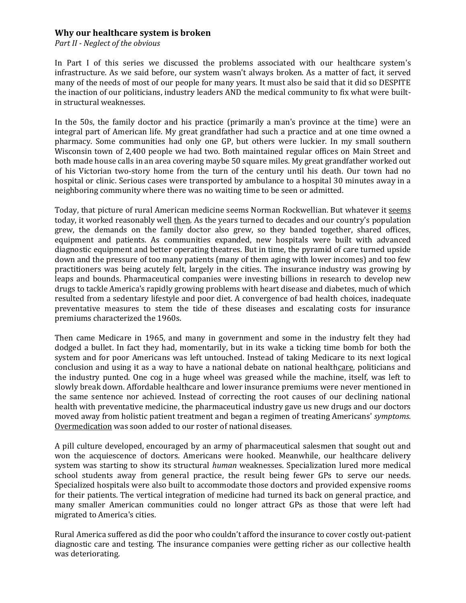## **Why our healthcare system is broken**

*Part II - Neglect of the obvious*

In Part I of this series we discussed the problems associated with our healthcare system's infrastructure. As we said before, our system wasn't always broken. As a matter of fact, it served many of the needs of most of our people for many years. It must also be said that it did so DESPITE the inaction of our politicians, industry leaders AND the medical community to fix what were builtin structural weaknesses.

In the 50s, the family doctor and his practice (primarily a man's province at the time) were an integral part of American life. My great grandfather had such a practice and at one time owned a pharmacy. Some communities had only one GP, but others were luckier. In my small southern Wisconsin town of 2,400 people we had two. Both maintained regular offices on Main Street and both made house calls in an area covering maybe 50 square miles. My great grandfather worked out of his Victorian two-story home from the turn of the century until his death. Our town had no hospital or clinic. Serious cases were transported by ambulance to a hospital 30 minutes away in a neighboring community where there was no waiting time to be seen or admitted.

Today, that picture of rural American medicine seems Norman Rockwellian. But whatever it seems today, it worked reasonably well then. As the years turned to decades and our country's population grew, the demands on the family doctor also grew, so they banded together, shared offices, equipment and patients. As communities expanded, new hospitals were built with advanced diagnostic equipment and better operating theatres. But in time, the pyramid of care turned upside down and the pressure of too many patients (many of them aging with lower incomes) and too few practitioners was being acutely felt, largely in the cities. The insurance industry was growing by leaps and bounds. Pharmaceutical companies were investing billions in research to develop new drugs to tackle America's rapidly growing problems with heart disease and diabetes, much of which resulted from a sedentary lifestyle and poor diet. A convergence of bad health choices, inadequate preventative measures to stem the tide of these diseases and escalating costs for insurance premiums characterized the 1960s.

Then came Medicare in 1965, and many in government and some in the industry felt they had dodged a bullet. In fact they had, momentarily, but in its wake a ticking time bomb for both the system and for poor Americans was left untouched. Instead of taking Medicare to its next logical conclusion and using it as a way to have a national debate on national healthcare, politicians and the industry punted. One cog in a huge wheel was greased while the machine, itself, was left to slowly break down. Affordable healthcare and lower insurance premiums were never mentioned in the same sentence nor achieved. Instead of correcting the root causes of our declining national health with preventative medicine, the pharmaceutical industry gave us new drugs and our doctors moved away from holistic patient treatment and began a regimen of treating Americans' *symptoms*. Overmedication was soon added to our roster of national diseases.

A pill culture developed, encouraged by an army of pharmaceutical salesmen that sought out and won the acquiescence of doctors. Americans were hooked. Meanwhile, our healthcare delivery system was starting to show its structural *human* weaknesses. Specialization lured more medical school students away from general practice, the result being fewer GPs to serve our needs. Specialized hospitals were also built to accommodate those doctors and provided expensive rooms for their patients. The vertical integration of medicine had turned its back on general practice, and many smaller American communities could no longer attract GPs as those that were left had migrated to America's cities.

Rural America suffered as did the poor who couldn't afford the insurance to cover costly out-patient diagnostic care and testing. The insurance companies were getting richer as our collective health was deteriorating.